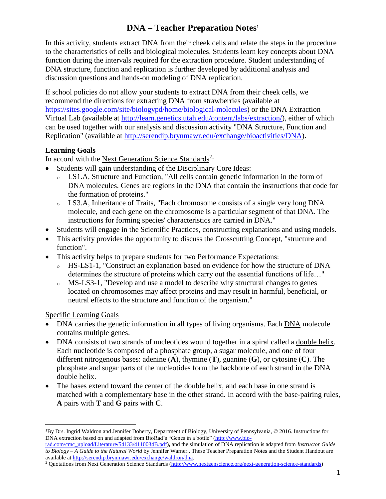# **DNA – Teacher Preparation Notes<sup>1</sup>**

In this activity, students extract DNA from their cheek cells and relate the steps in the procedure to the characteristics of cells and biological molecules. Students learn key concepts about DNA function during the intervals required for the extraction procedure. Student understanding of DNA structure, function and replication is further developed by additional analysis and discussion questions and hands-on modeling of DNA replication.

If school policies do not allow your students to extract DNA from their cheek cells, we recommend the directions for extracting DNA from strawberries (available at [https://sites.google.com/site/biologypd/home/biological-molecules\)](https://sites.google.com/site/biologypd/home/biological-molecules) or the DNA Extraction Virtual Lab (available at [http://learn.genetics.utah.edu/content/labs/extraction/\)](http://learn.genetics.utah.edu/content/labs/extraction/), either of which can be used together with our analysis and discussion activity "DNA Structure, Function and Replication" (available at [http://serendip.brynmawr.edu/exchange/bioactivities/DNA\)](http://serendip.brynmawr.edu/exchange/bioactivities/DNA).

# **Learning Goals**

In accord with the Next Generation Science Standards<sup>2</sup>:

- Students will gain understanding of the Disciplinary Core Ideas:
	- <sup>o</sup> LS1.A, Structure and Function, "All cells contain genetic information in the form of DNA molecules. Genes are regions in the DNA that contain the instructions that code for the formation of proteins."
	- <sup>o</sup> LS3.A, Inheritance of Traits, "Each chromosome consists of a single very long DNA molecule, and each gene on the chromosome is a particular segment of that DNA. The instructions for forming species' characteristics are carried in DNA."
- Students will engage in the Scientific Practices, constructing explanations and using models.
- This activity provides the opportunity to discuss the Crosscutting Concept, "structure and function".
- This activity helps to prepare students for two Performance Expectations:
	- <sup>o</sup> HS-LS1-1, "Construct an explanation based on evidence for how the structure of DNA determines the structure of proteins which carry out the essential functions of life…"
	- <sup>o</sup> MS-LS3-1, "Develop and use a model to describe why structural changes to genes located on chromosomes may affect proteins and may result in harmful, beneficial, or neutral effects to the structure and function of the organism."

Specific Learning Goals

- DNA carries the genetic information in all types of living organisms. Each DNA molecule contains multiple genes.
- DNA consists of two strands of nucleotides wound together in a spiral called a <u>double helix</u>. Each nucleotide is composed of a phosphate group, a sugar molecule, and one of four different nitrogenous bases: adenine (**A**), thymine (**T**), guanine (**G**), or cytosine (**C**). The phosphate and sugar parts of the nucleotides form the backbone of each strand in the DNA double helix.
- The bases extend toward the center of the double helix, and each base in one strand is matched with a complementary base in the other strand. In accord with the base-pairing rules, **A** pairs with **T** and **G** pairs with **C**.

 $\overline{a}$ <sup>1</sup>By Drs. Ingrid Waldron and Jennifer Doherty, Department of Biology, University of Pennsylvania, © 2016. Instructions for DNA extraction based on and adapted from BioRad's "Genes in a bottle" [\(http://www.bio-](http://www.bio-rad.com/cmc_upload/Literature/54133/4110034B.pdf)

[rad.com/cmc\\_upload/Literature/54133/4110034B.pdf](http://www.bio-rad.com/cmc_upload/Literature/54133/4110034B.pdf)**),** and the simulation of DNA replication is adapted from *Instructor Guide to Biology – A Guide to the Natural World* by Jennifer Warner.. These Teacher Preparation Notes and the Student Handout are available a[t http://serendip.brynmawr.edu/exchange/waldron/dna.](http://serendip.brynmawr.edu/exchange/waldron/dna)

<sup>2</sup> Quotations from Next Generation Science Standards [\(http://www.nextgenscience.org/next-generation-science-standards\)](http://www.nextgenscience.org/next-generation-science-standards)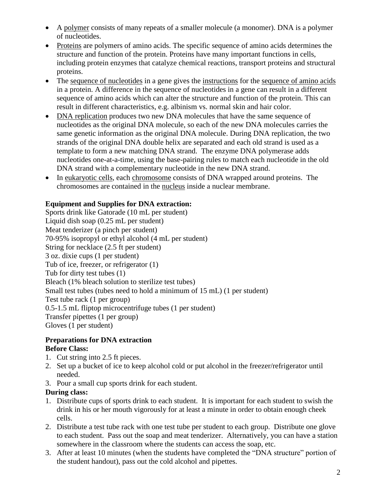- A polymer consists of many repeats of a smaller molecule (a monomer). DNA is a polymer of nucleotides.
- Proteins are polymers of amino acids. The specific sequence of amino acids determines the structure and function of the protein. Proteins have many important functions in cells, including protein enzymes that catalyze chemical reactions, transport proteins and structural proteins.
- The sequence of nucleotides in a gene gives the instructions for the sequence of amino acids in a protein. A difference in the sequence of nucleotides in a gene can result in a different sequence of amino acids which can alter the structure and function of the protein. This can result in different characteristics, e.g. albinism vs. normal skin and hair color.
- DNA replication produces two new DNA molecules that have the same sequence of nucleotides as the original DNA molecule, so each of the new DNA molecules carries the same genetic information as the original DNA molecule. During DNA replication, the two strands of the original DNA double helix are separated and each old strand is used as a template to form a new matching DNA strand. The enzyme DNA polymerase adds nucleotides one-at-a-time, using the base-pairing rules to match each nucleotide in the old DNA strand with a complementary nucleotide in the new DNA strand.
- In eukaryotic cells, each chromosome consists of DNA wrapped around proteins. The chromosomes are contained in the nucleus inside a nuclear membrane.

# **Equipment and Supplies for DNA extraction:**

Sports drink like Gatorade (10 mL per student) Liquid dish soap (0.25 mL per student) Meat tenderizer (a pinch per student) 70-95% isopropyl or ethyl alcohol (4 mL per student) String for necklace (2.5 ft per student) 3 oz. dixie cups (1 per student) Tub of ice, freezer, or refrigerator (1) Tub for dirty test tubes (1) Bleach (1% bleach solution to sterilize test tubes) Small test tubes (tubes need to hold a minimum of 15 mL) (1 per student) Test tube rack (1 per group) 0.5-1.5 mL fliptop microcentrifuge tubes (1 per student) Transfer pipettes (1 per group) Gloves (1 per student)

### **Preparations for DNA extraction Before Class:**

- 1. Cut string into 2.5 ft pieces.
- 2. Set up a bucket of ice to keep alcohol cold or put alcohol in the freezer/refrigerator until needed.
- 3. Pour a small cup sports drink for each student.

# **During class:**

- 1. Distribute cups of sports drink to each student. It is important for each student to swish the drink in his or her mouth vigorously for at least a minute in order to obtain enough cheek cells.
- 2. Distribute a test tube rack with one test tube per student to each group. Distribute one glove to each student. Pass out the soap and meat tenderizer. Alternatively, you can have a station somewhere in the classroom where the students can access the soap, etc.
- 3. After at least 10 minutes (when the students have completed the "DNA structure" portion of the student handout), pass out the cold alcohol and pipettes.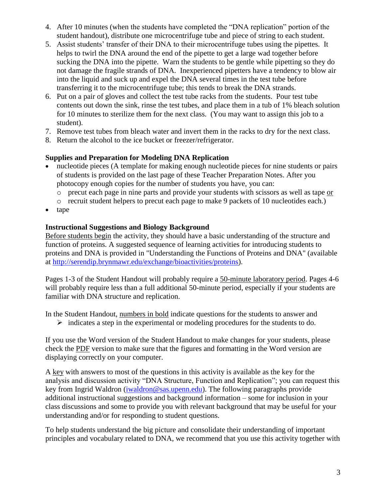- 4. After 10 minutes (when the students have completed the "DNA replication" portion of the student handout), distribute one microcentrifuge tube and piece of string to each student.
- 5. Assist students' transfer of their DNA to their microcentrifuge tubes using the pipettes. It helps to twirl the DNA around the end of the pipette to get a large wad together before sucking the DNA into the pipette. Warn the students to be gentle while pipetting so they do not damage the fragile strands of DNA. Inexperienced pipetters have a tendency to blow air into the liquid and suck up and expel the DNA several times in the test tube before transferring it to the microcentrifuge tube; this tends to break the DNA strands.
- 6. Put on a pair of gloves and collect the test tube racks from the students. Pour test tube contents out down the sink, rinse the test tubes, and place them in a tub of 1% bleach solution for 10 minutes to sterilize them for the next class. (You may want to assign this job to a student).
- 7. Remove test tubes from bleach water and invert them in the racks to dry for the next class.
- 8. Return the alcohol to the ice bucket or freezer/refrigerator.

#### **Supplies and Preparation for Modeling DNA Replication**

- nucleotide pieces (A template for making enough nucleotide pieces for nine students or pairs of students is provided on the last page of these Teacher Preparation Notes. After you photocopy enough copies for the number of students you have, you can:
	- o precut each page in nine parts and provide your students with scissors as well as tape or
	- o recruit student helpers to precut each page to make 9 packets of 10 nucleotides each.)
- tape

#### **Instructional Suggestions and Biology Background**

Before students begin the activity, they should have a basic understanding of the structure and function of proteins. A suggested sequence of learning activities for introducing students to proteins and DNA is provided in "Understanding the Functions of Proteins and DNA" (available at [http://serendip.brynmawr.edu/exchange/bioactivities/proteins\)](http://serendip.brynmawr.edu/exchange/bioactivities/proteins).

Pages 1-3 of the Student Handout will probably require a 50-minute laboratory period. Pages 4-6 will probably require less than a full additional 50-minute period, especially if your students are familiar with DNA structure and replication.

In the Student Handout, numbers in bold indicate questions for the students to answer and

 $\triangleright$  indicates a step in the experimental or modeling procedures for the students to do.

If you use the Word version of the Student Handout to make changes for your students, please check the PDF version to make sure that the figures and formatting in the Word version are displaying correctly on your computer.

A key with answers to most of the questions in this activity is available as the key for the analysis and discussion activity "DNA Structure, Function and Replication"; you can request this key from Ingrid Waldron [\(iwaldron@sas.upenn.edu\)](mailto:iwaldron@sas.upenn.edu). The following paragraphs provide additional instructional suggestions and background information – some for inclusion in your class discussions and some to provide you with relevant background that may be useful for your understanding and/or for responding to student questions.

To help students understand the big picture and consolidate their understanding of important principles and vocabulary related to DNA, we recommend that you use this activity together with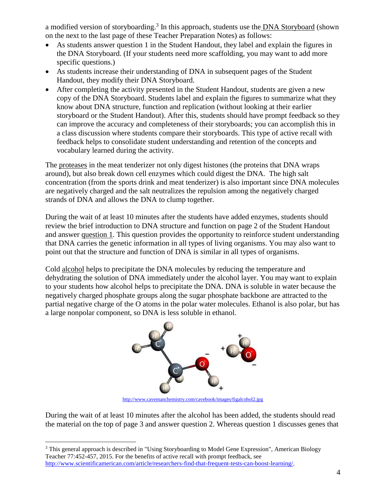a modified version of storyboarding.<sup>3</sup> In this approach, students use the **DNA Storyboard** (shown on the next to the last page of these Teacher Preparation Notes) as follows:

- As students answer question 1 in the Student Handout, they label and explain the figures in the DNA Storyboard. (If your students need more scaffolding, you may want to add more specific questions.)
- As students increase their understanding of DNA in subsequent pages of the Student Handout, they modify their DNA Storyboard.
- After completing the activity presented in the Student Handout, students are given a new copy of the DNA Storyboard. Students label and explain the figures to summarize what they know about DNA structure, function and replication (without looking at their earlier storyboard or the Student Handout). After this, students should have prompt feedback so they can improve the accuracy and completeness of their storyboards; you can accomplish this in a class discussion where students compare their storyboards. This type of active recall with feedback helps to consolidate student understanding and retention of the concepts and vocabulary learned during the activity.

The proteases in the meat tenderizer not only digest histones (the proteins that DNA wraps around), but also break down cell enzymes which could digest the DNA. The high salt concentration (from the sports drink and meat tenderizer) is also important since DNA molecules are negatively charged and the salt neutralizes the repulsion among the negatively charged strands of DNA and allows the DNA to clump together.

During the wait of at least 10 minutes after the students have added enzymes, students should review the brief introduction to DNA structure and function on page 2 of the Student Handout and answer question 1. This question provides the opportunity to reinforce student understanding that DNA carries the genetic information in all types of living organisms. You may also want to point out that the structure and function of DNA is similar in all types of organisms.

Cold alcohol helps to precipitate the DNA molecules by reducing the temperature and dehydrating the solution of DNA immediately under the alcohol layer. You may want to explain to your students how alcohol helps to precipitate the DNA. DNA is soluble in water because the negatively charged phosphate groups along the sugar phosphate backbone are attracted to the partial negative charge of the O atoms in the polar water molecules. Ethanol is also polar, but has a large nonpolar component, so DNA is less soluble in ethanol.



<http://www.cavemanchemistry.com/cavebook/images/figalcohol2.jpg>

During the wait of at least 10 minutes after the alcohol has been added, the students should read the material on the top of page 3 and answer question 2. Whereas question 1 discusses genes that

 $\overline{a}$ <sup>3</sup> This general approach is described in "Using Storyboarding to Model Gene Expression", American Biology Teacher 77:452-457, 2015. For the benefits of active recall with prompt feedback, see [http://www.scientificamerican.com/article/researchers-find-that-frequent-tests-can-boost-learning/.](http://www.scientificamerican.com/article/researchers-find-that-frequent-tests-can-boost-learning/)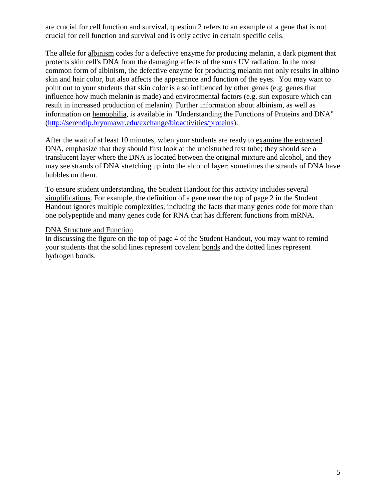are crucial for cell function and survival, question 2 refers to an example of a gene that is not crucial for cell function and survival and is only active in certain specific cells.

The allele for albinism codes for a defective enzyme for producing melanin, a dark pigment that protects skin cell's DNA from the damaging effects of the sun's UV radiation. In the most common form of albinism, the defective enzyme for producing melanin not only results in albino skin and hair color, but also affects the appearance and function of the eyes. You may want to point out to your students that skin color is also influenced by other genes (e.g. genes that influence how much melanin is made) and environmental factors (e.g. sun exposure which can result in increased production of melanin). Further information about albinism, as well as information on hemophilia, is available in "Understanding the Functions of Proteins and DNA" [\(http://serendip.brynmawr.edu/exchange/bioactivities/proteins\)](http://serendip.brynmawr.edu/exchange/bioactivities/proteins).

After the wait of at least 10 minutes, when your students are ready to examine the extracted DNA, emphasize that they should first look at the undisturbed test tube; they should see a translucent layer where the DNA is located between the original mixture and alcohol, and they may see strands of DNA stretching up into the alcohol layer; sometimes the strands of DNA have bubbles on them.

To ensure student understanding, the Student Handout for this activity includes several simplifications. For example, the definition of a gene near the top of page 2 in the Student Handout ignores multiple complexities, including the facts that many genes code for more than one polypeptide and many genes code for RNA that has different functions from mRNA.

#### DNA Structure and Function

In discussing the figure on the top of page 4 of the Student Handout, you may want to remind your students that the solid lines represent covalent bonds and the dotted lines represent hydrogen bonds.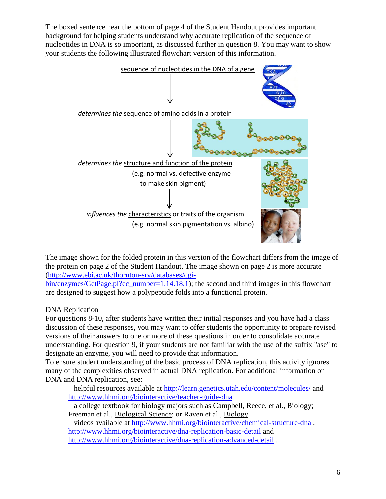The boxed sentence near the bottom of page 4 of the Student Handout provides important background for helping students understand why accurate replication of the sequence of nucleotides in DNA is so important, as discussed further in question 8. You may want to show your students the following illustrated flowchart version of this information.



The image shown for the folded protein in this version of the flowchart differs from the image of the protein on page 2 of the Student Handout. The image shown on page 2 is more accurate [\(http://www.ebi.ac.uk/thornton-srv/databases/cgi-](http://www.ebi.ac.uk/thornton-srv/databases/cgi-bin/enzymes/GetPage.pl?ec_number=1.14.18.1)

[bin/enzymes/GetPage.pl?ec\\_number=1.14.18.1\)](http://www.ebi.ac.uk/thornton-srv/databases/cgi-bin/enzymes/GetPage.pl?ec_number=1.14.18.1); the second and third images in this flowchart are designed to suggest how a polypeptide folds into a functional protein.

# DNA Replication

For questions 8-10, after students have written their initial responses and you have had a class discussion of these responses, you may want to offer students the opportunity to prepare revised versions of their answers to one or more of these questions in order to consolidate accurate understanding. For question 9, if your students are not familiar with the use of the suffix "ase" to designate an enzyme, you will need to provide that information.

To ensure student understanding of the basic process of DNA replication, this activity ignores many of the complexities observed in actual DNA replication. For additional information on DNA and DNA replication, see:

– helpful resources available at<http://learn.genetics.utah.edu/content/molecules/> and <http://www.hhmi.org/biointeractive/teacher-guide-dna>

– a college textbook for biology majors such as Campbell, Reece, et al., Biology; Freeman et al., Biological Science; or Raven et al., Biology

– videos available at<http://www.hhmi.org/biointeractive/chemical-structure-dna> , <http://www.hhmi.org/biointeractive/dna-replication-basic-detail> and <http://www.hhmi.org/biointeractive/dna-replication-advanced-detail> .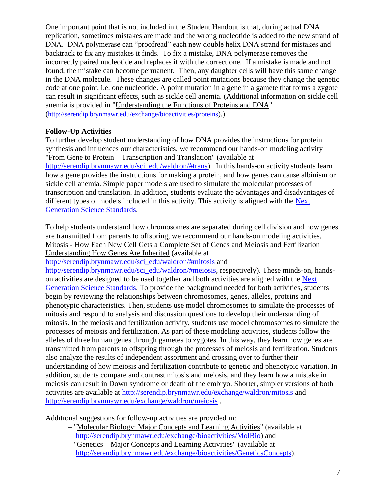One important point that is not included in the Student Handout is that, during actual DNA replication, sometimes mistakes are made and the wrong nucleotide is added to the new strand of DNA. DNA polymerase can "proofread" each new double helix DNA strand for mistakes and backtrack to fix any mistakes it finds. To fix a mistake, DNA polymerase removes the incorrectly paired nucleotide and replaces it with the correct one. If a mistake is made and not found, the mistake can become permanent. Then, any daughter cells will have this same change in the DNA molecule. These changes are called point mutations because they change the genetic code at one point, i.e. one nucleotide. A point mutation in a gene in a gamete that forms a zygote can result in significant effects, such as sickle cell anemia. (Additional information on sickle cell anemia is provided in "Understanding the Functions of Proteins and DNA" (<http://serendip.brynmawr.edu/exchange/bioactivities/proteins>).)

#### **Follow-Up Activities**

To further develop student understanding of how DNA provides the instructions for protein synthesis and influences our characteristics, we recommend our hands-on modeling activity "From Gene to Protein – Transcription and Translation" (available at [http://serendip.brynmawr.edu/sci\\_edu/waldron/#trans\)](http://serendip.brynmawr.edu/sci_edu/waldron/#trans). In this hands-on activity students learn how a gene provides the instructions for making a protein, and how genes can cause albinism or sickle cell anemia. Simple paper models are used to simulate the molecular processes of transcription and translation. In addition, students evaluate the advantages and disadvantages of different types of models included in this activity. This activity is aligned with the [Next](http://www.nextgenscience.org/next-generation-science-standards)  [Generation Science Standards.](http://www.nextgenscience.org/next-generation-science-standards)

To help students understand how chromosomes are separated during cell division and how genes are transmitted from parents to offspring, we recommend our hands-on modeling activities, Mitosis - How Each New Cell Gets a Complete Set of Genes and Meiosis and Fertilization – Understanding How Genes Are Inherited (available at

[http://serendip.brynmawr.edu/sci\\_edu/waldron/#mitosis](http://serendip.brynmawr.edu/sci_edu/waldron/#mitosis) and

[http://serendip.brynmawr.edu/sci\\_edu/waldron/#meiosis,](http://serendip.brynmawr.edu/sci_edu/waldron/#meiosis) respectively). These minds-on, handson activities are designed to be used together and both activities are aligned with the [Next](http://www.nextgenscience.org/next-generation-science-standards)  [Generation Science Standards.](http://www.nextgenscience.org/next-generation-science-standards) To provide the background needed for both activities, students begin by reviewing the relationships between chromosomes, genes, alleles, proteins and phenotypic characteristics. Then, students use model chromosomes to simulate the processes of mitosis and respond to analysis and discussion questions to develop their understanding of mitosis. In the meiosis and fertilization activity, students use model chromosomes to simulate the processes of meiosis and fertilization. As part of these modeling activities, students follow the alleles of three human genes through gametes to zygotes. In this way, they learn how genes are transmitted from parents to offspring through the processes of meiosis and fertilization. Students also analyze the results of independent assortment and crossing over to further their understanding of how meiosis and fertilization contribute to genetic and phenotypic variation. In addition, students compare and contrast mitosis and meiosis, and they learn how a mistake in meiosis can result in Down syndrome or death of the embryo. Shorter, simpler versions of both activities are available at<http://serendip.brynmawr.edu/exchange/waldron/mitosis> and <http://serendip.brynmawr.edu/exchange/waldron/meiosis> .

Additional suggestions for follow-up activities are provided in:

- "Molecular Biology: Major Concepts and Learning Activities" (available at [http://serendip.brynmawr.edu/exchange/bioactivities/MolBio\)](http://serendip.brynmawr.edu/exchange/bioactivities/MolBio) and
- "Genetics Major Concepts and Learning Activities" (available at [http://serendip.brynmawr.edu/exchange/bioactivities/GeneticsConcepts\)](http://serendip.brynmawr.edu/exchange/bioactivities/GeneticsConcepts).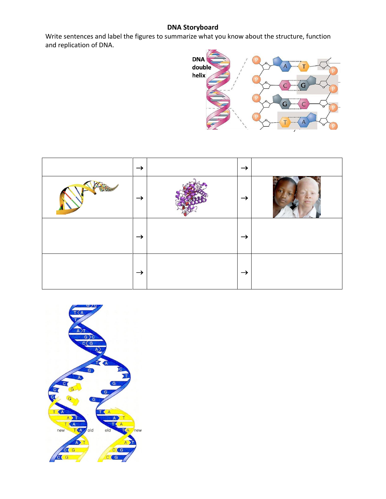# **DNA Storyboard**

Write sentences and label the figures to summarize what you know about the structure, function and replication of DNA.